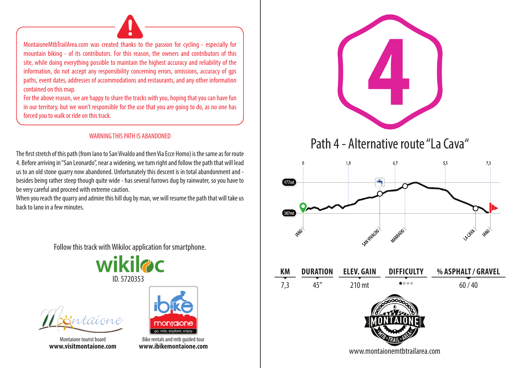MontaioneMtbTrailArea.com was created thanks to the passion for cycling - especially for mountain biking - of its contributors. For this reason, the owners and contributors of this site, while doing everything possible to maintain the highest accuracy and reliability of the information, do not accept any responsibility concerning errors, omissions, accuracy of gps paths, event dates, addresses of accommodations and restaurants, and any other information contained on this map.

For the above reason, we are happy to share the tracks with you, hoping that you can have fun in our territory, but we won't responsible for the use that you are going to do, as no one has forced you to walk or ride on this track.

## WARNING THIS PATH IS ABANDONED

The first stretch of this path (from Iano to San Vivaldo and then Via Ecce Homo) is the same as for route 4. Before arriving in "San Leonardo", near a widening, we turn right and follow the path that will lead us to an old stone quarry now abandoned. Unfortunately this descent is in total abandonment and besides being rather steep though quite wide - has several furrows dug by rainwater, so you have to be very careful and proceed with extreme caution.

When you reach the quarry and admire this hill dug by man, we will resume the path that will take us back to Iano in a few minutes.

Follow this track with Wikiloc application for smartphone.





Montaione tourist board



**www.ibikemontaione.com**



Path 4 - Alternative route "La Cava"